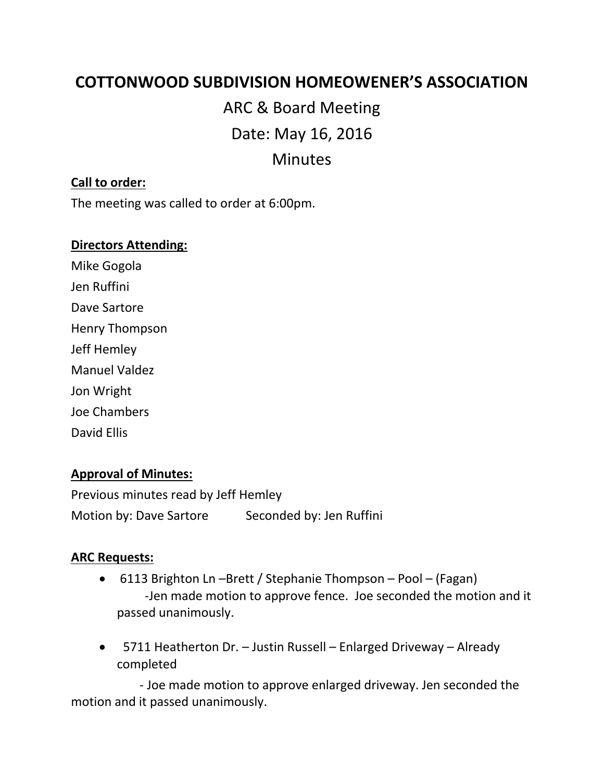# **COTTONWOOD SUBDIVISION HOMEOWENER'S ASSOCIATION**

ARC & Board Meeting Date: May 16, 2016 Minutes

### **Call to order:**

The meeting was called to order at 6:00pm.

#### **Directors Attending:**

Mike Gogola Jen Ruffini Dave Sartore Henry Thompson Jeff Hemley Manuel Valdez Jon Wright Joe Chambers

David Ellis

# **Approval of Minutes:**

Previous minutes read by Jeff Hemley Motion by: Dave Sartore Seconded by: Jen Ruffini

# **ARC Requests:**

- 6113 Brighton Ln –Brett / Stephanie Thompson Pool (Fagan) -Jen made motion to approve fence. Joe seconded the motion and it passed unanimously.
- 5711 Heatherton Dr. Justin Russell Enlarged Driveway Already completed

 - Joe made motion to approve enlarged driveway. Jen seconded the motion and it passed unanimously.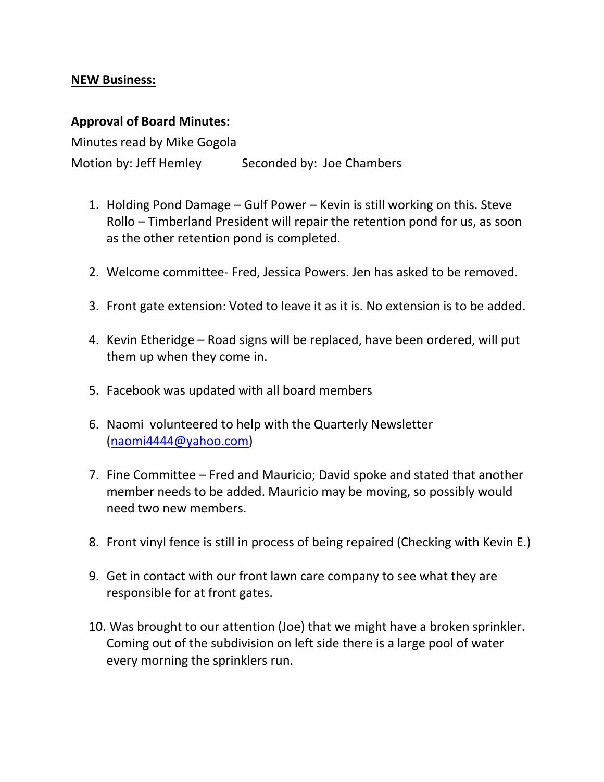### **NEW Business:**

#### **Approval of Board Minutes:**

Minutes read by Mike Gogola Motion by: Jeff Hemley Seconded by: Joe Chambers

- 1. Holding Pond Damage Gulf Power Kevin is still working on this. Steve Rollo – Timberland President will repair the retention pond for us, as soon as the other retention pond is completed.
- 2. Welcome committee- Fred, Jessica Powers. Jen has asked to be removed.
- 3. Front gate extension: Voted to leave it as it is. No extension is to be added.
- 4. Kevin Etheridge Road signs will be replaced, have been ordered, will put them up when they come in.
- 5. Facebook was updated with all board members
- 6. Naomi volunteered to help with the Quarterly Newsletter [\(naomi4444@yahoo.com\)](mailto:naomi4444@yahoo.com)
- 7. Fine Committee Fred and Mauricio; David spoke and stated that another member needs to be added. Mauricio may be moving, so possibly would need two new members.
- 8. Front vinyl fence is still in process of being repaired (Checking with Kevin E.)
- 9. Get in contact with our front lawn care company to see what they are responsible for at front gates.
- 10. Was brought to our attention (Joe) that we might have a broken sprinkler. Coming out of the subdivision on left side there is a large pool of water every morning the sprinklers run.